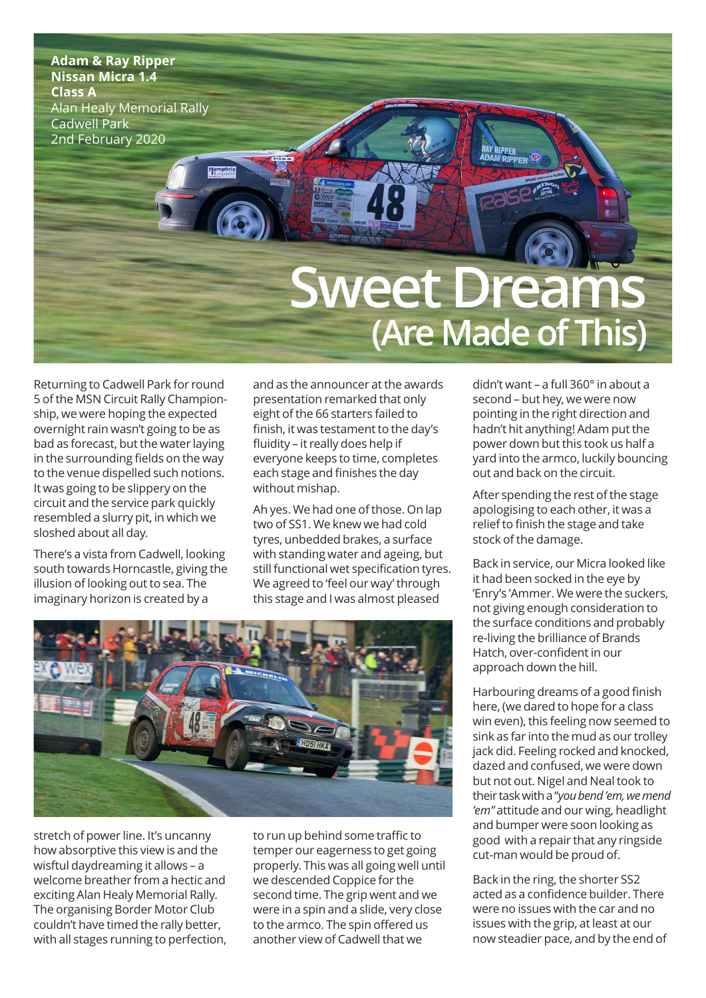

Returning to Cadwell Park for round 5 ofthe MSN Circuit Rally Championship, we were hoping the expected overnight rain wasn't going to be as bad as forecast, but the water laying in the surrounding fields on the way to the venue dispelled such notions. It was going to be slippery on the circuit and the service park quickly resembled a slurry pit, in which we sloshed about all day.

There's a vista from Cadwell, looking south towards Horncastle, giving the illusion of looking out to sea. The imaginary horizon is created by a

and as the announcer at the awards presentation remarked that only eight of the 66 starters failed to finish, it was testament to the day's fluidity – it really does help if everyone keeps to time, completes each stage and finishes the day without mishap.

Ah yes. We had one of those. On lap two of SS1. We knew we had cold tyres, unbedded brakes, a surface with standing water and ageing, but still functional wet specification tyres. We agreed to 'feel our way' through this stage and I was almost pleased



stretch of power line. It's uncanny how absorptive this view is and the wisftul daydreaming it allows – a welcome breather from a hectic and exciting Alan Healy Memorial Rally. The organising Border Motor Club couldn't have timed the rally better, with all stages running to perfection, to run up behind some traffic to temper our eagerness to get going properly. This was all going well until we descended Coppice for the second time. The grip went and we were in a spin and a slide, very close to the armco. The spin offered us another view of Cadwell that we

didn't want – a full 360° in about a second – but hey, we were now pointing in the right direction and hadn't hit anything! Adam put the power down but this took us half a yard into the armco, luckily bouncing out and back on the circuit.

After spending the rest of the stage apologising to each other, it was a relief to finish the stage and take stock of the damage.

Back in service, our Micra looked like it had been socked in the eye by 'Enry's 'Ammer. We were the suckers, not giving enough consideration to the surface conditions and probably re-living the brilliance of Brands Hatch, over-confident in our approach down the hill.

Harbouring dreams of a good finish here, (we dared to hope for a class win even), this feeling now seemed to sink as far into the mud as our trolley jack did. Feeling rocked and knocked, dazed and confused, we were down but not out. Nigel and Neal took to their taskwitha"*youbend'em,wemend 'em"* attitude and our wing, headlight and bumper were soon looking as good with a repair that any ringside cut-man would be proud of.

Back in the ring, the shorter SS2 acted as a confidence builder. There were no issues with the car and no issues with the grip, at least at our now steadier pace, and by the end of